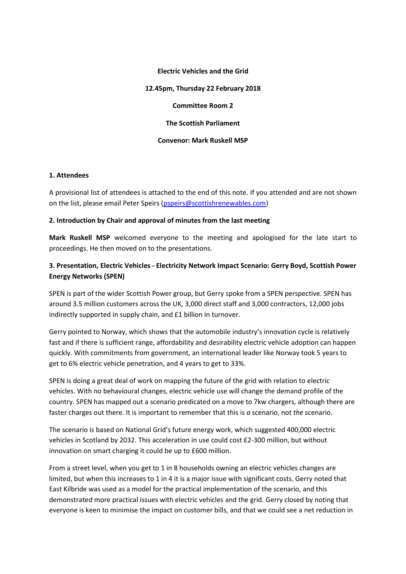#### **Electric Vehicles and the Grid**

**12.45pm, Thursday 22 February 2018**

**Committee Room 2**

**The Scottish Parliament**

#### **Convenor: Mark Ruskell MSP**

### **1. Attendees**

A provisional list of attendees is attached to the end of this note. If you attended and are not shown on the list, please email Peter Speirs [\(pspeirs@scottishrenewables.com\)](mailto:pspeirs@scottishrenewables.com)

### **2. Introduction by Chair and approval of minutes from the last meeting**

**Mark Ruskell MSP** welcomed everyone to the meeting and apologised for the late start to proceedings. He then moved on to the presentations.

# **3. Presentation, Electric Vehicles - Electricity Network Impact Scenario: Gerry Boyd, Scottish Power Energy Networks (SPEN)**

SPEN is part of the wider Scottish Power group, but Gerry spoke from a SPEN perspective. SPEN has around 3.5 million customers across the UK, 3,000 direct staff and 3,000 contractors, 12,000 jobs indirectly supported in supply chain, and £1 billion in turnover.

Gerry pointed to Norway, which shows that the automobile industry's innovation cycle is relatively fast and if there is sufficient range, affordability and desirability electric vehicle adoption can happen quickly. With commitments from government, an international leader like Norway took 5 years to get to 6% electric vehicle penetration, and 4 years to get to 33%.

SPEN is doing a great deal of work on mapping the future of the grid with relation to electric vehicles. With no behavioural changes, electric vehicle use will change the demand profile of the country. SPEN has mapped out a scenario predicated on a move to 7kw chargers, although there are faster charges out there. It is important to remember that this is *a* scenario, not *the* scenario.

The scenario is based on National Grid's future energy work, which suggested 400,000 electric vehicles in Scotland by 2032. This acceleration in use could cost £2-300 million, but without innovation on smart charging it could be up to £600 million.

From a street level, when you get to 1 in 8 households owning an electric vehicles changes are limited, but when this increases to 1 in 4 it is a major issue with significant costs. Gerry noted that East Kilbride was used as a model for the practical implementation of the scenario, and this demonstrated more practical issues with electric vehicles and the grid. Gerry closed by noting that everyone is keen to minimise the impact on customer bills, and that we could see a net reduction in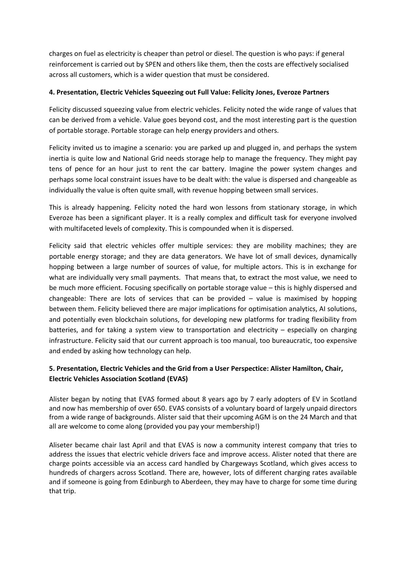charges on fuel as electricity is cheaper than petrol or diesel. The question is who pays: if general reinforcement is carried out by SPEN and others like them, then the costs are effectively socialised across all customers, which is a wider question that must be considered.

### **4. Presentation, Electric Vehicles Squeezing out Full Value: Felicity Jones, Everoze Partners**

Felicity discussed squeezing value from electric vehicles. Felicity noted the wide range of values that can be derived from a vehicle. Value goes beyond cost, and the most interesting part is the question of portable storage. Portable storage can help energy providers and others.

Felicity invited us to imagine a scenario: you are parked up and plugged in, and perhaps the system inertia is quite low and National Grid needs storage help to manage the frequency. They might pay tens of pence for an hour just to rent the car battery. Imagine the power system changes and perhaps some local constraint issues have to be dealt with: the value is dispersed and changeable as individually the value is often quite small, with revenue hopping between small services.

This is already happening. Felicity noted the hard won lessons from stationary storage, in which Everoze has been a significant player. It is a really complex and difficult task for everyone involved with multifaceted levels of complexity. This is compounded when it is dispersed.

Felicity said that electric vehicles offer multiple services: they are mobility machines; they are portable energy storage; and they are data generators. We have lot of small devices, dynamically hopping between a large number of sources of value, for multiple actors. This is in exchange for what are individually very small payments. That means that, to extract the most value, we need to be much more efficient. Focusing specifically on portable storage value – this is highly dispersed and changeable: There are lots of services that can be provided – value is maximised by hopping between them. Felicity believed there are major implications for optimisation analytics, AI solutions, and potentially even blockchain solutions, for developing new platforms for trading flexibility from batteries, and for taking a system view to transportation and electricity – especially on charging infrastructure. Felicity said that our current approach is too manual, too bureaucratic, too expensive and ended by asking how technology can help.

# **5. Presentation, Electric Vehicles and the Grid from a User Perspectice: Alister Hamilton, Chair, Electric Vehicles Association Scotland (EVAS)**

Alister began by noting that EVAS formed about 8 years ago by 7 early adopters of EV in Scotland and now has membership of over 650. EVAS consists of a voluntary board of largely unpaid directors from a wide range of backgrounds. Alister said that their upcoming AGM is on the 24 March and that all are welcome to come along (provided you pay your membership!)

Aliseter became chair last April and that EVAS is now a community interest company that tries to address the issues that electric vehicle drivers face and improve access. Alister noted that there are charge points accessible via an access card handled by Chargeways Scotland, which gives access to hundreds of chargers across Scotland. There are, however, lots of different charging rates available and if someone is going from Edinburgh to Aberdeen, they may have to charge for some time during that trip.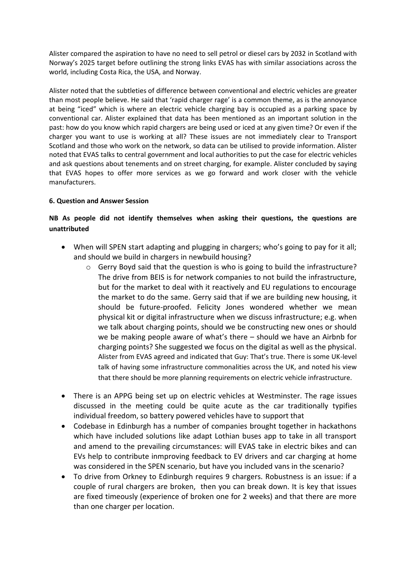Alister compared the aspiration to have no need to sell petrol or diesel cars by 2032 in Scotland with Norway's 2025 target before outlining the strong links EVAS has with similar associations across the world, including Costa Rica, the USA, and Norway.

Alister noted that the subtleties of difference between conventional and electric vehicles are greater than most people believe. He said that 'rapid charger rage' is a common theme, as is the annoyance at being "iced" which is where an electric vehicle charging bay is occupied as a parking space by conventional car. Alister explained that data has been mentioned as an important solution in the past: how do you know which rapid chargers are being used or iced at any given time? Or even if the charger you want to use is working at all? These issues are not immediately clear to Transport Scotland and those who work on the network, so data can be utilised to provide information. Alister noted that EVAS talks to central government and local authorities to put the case for electric vehicles and ask questions about tenements and on street charging, for example. Alister concluded by saying that EVAS hopes to offer more services as we go forward and work closer with the vehicle manufacturers.

## **6. Question and Answer Session**

# **NB As people did not identify themselves when asking their questions, the questions are unattributed**

- When will SPEN start adapting and plugging in chargers; who's going to pay for it all; and should we build in chargers in newbuild housing?
	- $\circ$  Gerry Boyd said that the question is who is going to build the infrastructure? The drive from BEIS is for network companies to not build the infrastructure, but for the market to deal with it reactively and EU regulations to encourage the market to do the same. Gerry said that if we are building new housing, it should be future-proofed. Felicity Jones wondered whether we mean physical kit or digital infrastructure when we discuss infrastructure; e.g. when we talk about charging points, should we be constructing new ones or should we be making people aware of what's there – should we have an Airbnb for charging points? She suggested we focus on the digital as well as the physical. Alister from EVAS agreed and indicated that Guy: That's true. There is some UK-level talk of having some infrastructure commonalities across the UK, and noted his view that there should be more planning requirements on electric vehicle infrastructure.
- There is an APPG being set up on electric vehicles at Westminster. The rage issues discussed in the meeting could be quite acute as the car traditionally typifies individual freedom, so battery powered vehicles have to support that
- Codebase in Edinburgh has a number of companies brought together in hackathons which have included solutions like adapt Lothian buses app to take in all transport and amend to the prevailing circumstances: will EVAS take in electric bikes and can EVs help to contribute inmproving feedback to EV drivers and car charging at home was considered in the SPEN scenario, but have you included vans in the scenario?
- To drive from Orkney to Edinburgh requires 9 chargers. Robustness is an issue: if a couple of rural chargers are broken, then you can break down. It is key that issues are fixed timeously (experience of broken one for 2 weeks) and that there are more than one charger per location.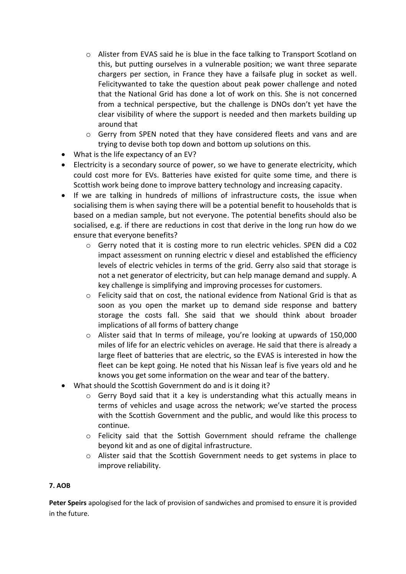- o Alister from EVAS said he is blue in the face talking to Transport Scotland on this, but putting ourselves in a vulnerable position; we want three separate chargers per section, in France they have a failsafe plug in socket as well. Felicitywanted to take the question about peak power challenge and noted that the National Grid has done a lot of work on this. She is not concerned from a technical perspective, but the challenge is DNOs don't yet have the clear visibility of where the support is needed and then markets building up around that
- o Gerry from SPEN noted that they have considered fleets and vans and are trying to devise both top down and bottom up solutions on this.
- What is the life expectancy of an EV?
- Electricity is a secondary source of power, so we have to generate electricity, which could cost more for EVs. Batteries have existed for quite some time, and there is Scottish work being done to improve battery technology and increasing capacity.
- If we are talking in hundreds of millions of infrastructure costs, the issue when socialising them is when saying there will be a potential benefit to households that is based on a median sample, but not everyone. The potential benefits should also be socialised, e.g. if there are reductions in cost that derive in the long run how do we ensure that everyone benefits?
	- o Gerry noted that it is costing more to run electric vehicles. SPEN did a C02 impact assessment on running electric v diesel and established the efficiency levels of electric vehicles in terms of the grid. Gerry also said that storage is not a net generator of electricity, but can help manage demand and supply. A key challenge is simplifying and improving processes for customers.
	- $\circ$  Felicity said that on cost, the national evidence from National Grid is that as soon as you open the market up to demand side response and battery storage the costs fall. She said that we should think about broader implications of all forms of battery change
	- o Alister said that In terms of mileage, you're looking at upwards of 150,000 miles of life for an electric vehicles on average. He said that there is already a large fleet of batteries that are electric, so the EVAS is interested in how the fleet can be kept going. He noted that his Nissan leaf is five years old and he knows you get some information on the wear and tear of the battery.
- What should the Scottish Government do and is it doing it?
	- Gerry Boyd said that it a key is understanding what this actually means in terms of vehicles and usage across the network; we've started the process with the Scottish Government and the public, and would like this process to continue.
	- o Felicity said that the Sottish Government should reframe the challenge beyond kit and as one of digital infrastructure.
	- o Alister said that the Scottish Government needs to get systems in place to improve reliability.

## **7. AOB**

**Peter Speirs** apologised for the lack of provision of sandwiches and promised to ensure it is provided in the future.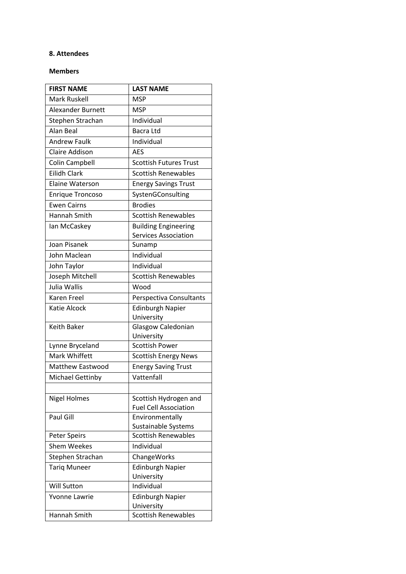### **8. Attendees**

### **Members**

| <b>FIRST NAME</b>        | <b>LAST NAME</b>                    |
|--------------------------|-------------------------------------|
| Mark Ruskell             | <b>MSP</b>                          |
| <b>Alexander Burnett</b> | <b>MSP</b>                          |
| Stephen Strachan         | Individual                          |
| Alan Beal                | Bacra Ltd                           |
| <b>Andrew Faulk</b>      | Individual                          |
| <b>Claire Addison</b>    | <b>AES</b>                          |
| Colin Campbell           | <b>Scottish Futures Trust</b>       |
| <b>Eilidh Clark</b>      | <b>Scottish Renewables</b>          |
| <b>Elaine Waterson</b>   | <b>Energy Savings Trust</b>         |
| <b>Enrique Troncoso</b>  | SystenGConsulting                   |
| <b>Ewen Cairns</b>       | <b>Brodies</b>                      |
| Hannah Smith             | <b>Scottish Renewables</b>          |
| Ian McCaskey             | <b>Building Engineering</b>         |
|                          | <b>Services Association</b>         |
| <b>Joan Pisanek</b>      | Sunamp                              |
| John Maclean             | Individual                          |
| John Taylor              | Individual                          |
| Joseph Mitchell          | <b>Scottish Renewables</b>          |
| Julia Wallis             | Wood                                |
| <b>Karen Freel</b>       | Perspectiva Consultants             |
| <b>Katie Alcock</b>      | <b>Edinburgh Napier</b>             |
|                          | University                          |
| <b>Keith Baker</b>       | Glasgow Caledonian                  |
| Lynne Bryceland          | University<br><b>Scottish Power</b> |
| Mark Whiffett            | <b>Scottish Energy News</b>         |
| <b>Matthew Eastwood</b>  | <b>Energy Saving Trust</b>          |
| <b>Michael Gettinby</b>  | Vattenfall                          |
|                          |                                     |
| <b>Nigel Holmes</b>      | Scottish Hydrogen and               |
|                          | <b>Fuel Cell Association</b>        |
| Paul Gill                | Environmentally                     |
|                          | <b>Sustainable Systems</b>          |
| <b>Peter Speirs</b>      | <b>Scottish Renewables</b>          |
| <b>Shem Weekes</b>       | Individual                          |
| Stephen Strachan         | ChangeWorks                         |
| <b>Tariq Muneer</b>      | <b>Edinburgh Napier</b>             |
|                          | University                          |
| <b>Will Sutton</b>       | Individual                          |
| Yvonne Lawrie            | <b>Edinburgh Napier</b>             |
|                          | University                          |
| Hannah Smith             | <b>Scottish Renewables</b>          |